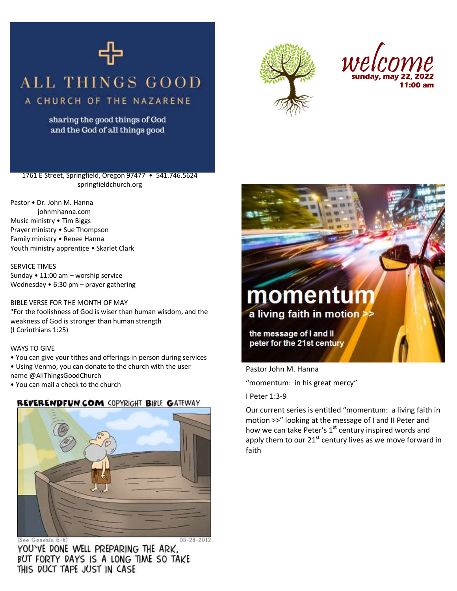

### **ALL THINGS GOOD** A CHURCH OF THE NAZARENE

sharing the good things of God and the God of all things good





1761 E Street, Springfield, Oregon 97477 • 541.746.5624 springfieldchurch.org

Pastor • Dr. John M. Hanna johnmhanna.com Music ministry • Tim Biggs Prayer ministry • Sue Thompson Family ministry • Renee Hanna Youth ministry apprentice • Skarlet Clark

SERVICE TIMES Sunday • 11:00 am – worship service Wednesday • 6:30 pm – prayer gathering

#### BIBLE VERSE FOR THE MONTH OF MAY

"For the foolishness of God is wiser than human wisdom, and the weakness of God is stronger than human strength (I Corinthians 1:25)

#### WAYS TO GIVE

• You can give your tithes and offerings in person during services

• Using Venmo, you can donate to the church with the user name @AllThingsGoodChurch

• You can mail a check to the church

# REVERENDFUN.COM COPYRIGHT BIBLE GATEWAY



 $05 - 28 - 2012$ (See Genesis 6-8) YOU'VE DONE WELL PREPARING THE ARK, BUT FORTY DAYS IS A LONG TIME SO TAKE THIS DUCT TAPE JUST IN CASE



Pastor John M. Hanna

"momentum: in his great mercy"

I Peter 1:3-9

Our current series is entitled "momentum: a living faith in motion >>" looking at the message of I and II Peter and how we can take Peter's 1<sup>st</sup> century inspired words and apply them to our  $21^{st}$  century lives as we move forward in faith